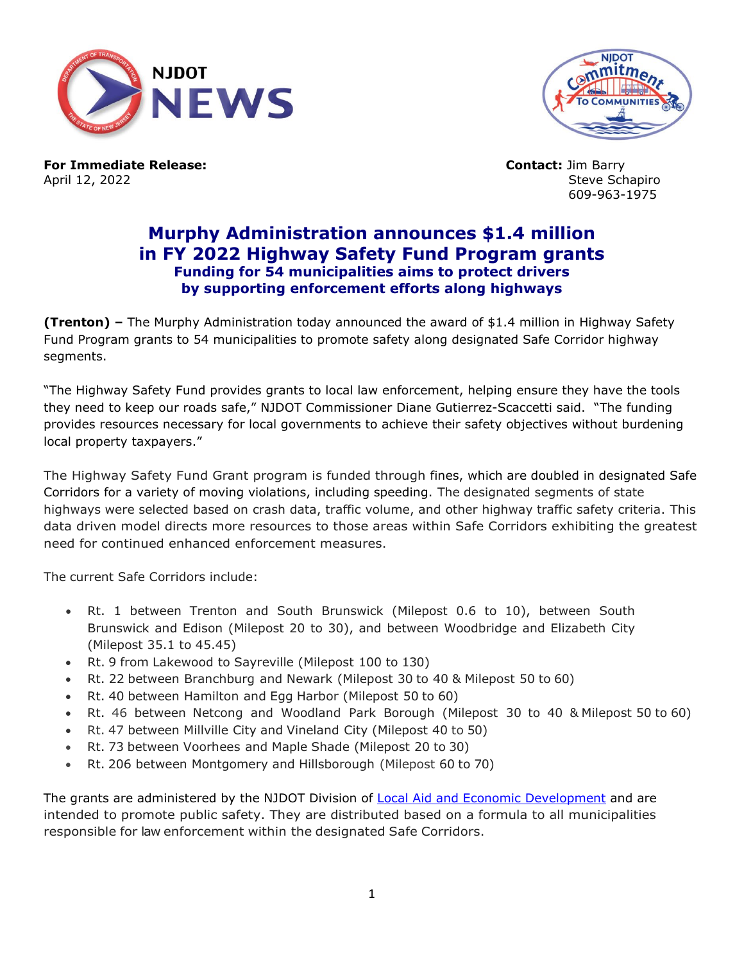



**For Immediate Release: Contact:** Jim Barry April 12, 2022 **Steve Schapiro** Steve Schapiro

609-963-1975

## **Murphy Administration announces \$1.4 million in FY 2022 Highway Safety Fund Program grants Funding for 54 municipalities aims to protect drivers by supporting enforcement efforts along highways**

**(Trenton) –** The Murphy Administration today announced the award of \$1.4 million in Highway Safety Fund Program grants to 54 municipalities to promote safety along designated Safe Corridor highway segments.

"The Highway Safety Fund provides grants to local law enforcement, helping ensure they have the tools they need to keep our roads safe," NJDOT Commissioner Diane Gutierrez-Scaccetti said. "The funding provides resources necessary for local governments to achieve their safety objectives without burdening local property taxpayers."

The Highway Safety Fund Grant program is funded through fines, which are doubled in designated Safe Corridors for a variety of moving violations, including speeding. The designated segments of state highways were selected based on crash data, traffic volume, and other highway traffic safety criteria. This data driven model directs more resources to those areas within Safe Corridors exhibiting the greatest need for continued enhanced enforcement measures.

The current Safe Corridors include:

- Rt. 1 between Trenton and South Brunswick (Milepost 0.6 to 10), between South Brunswick and Edison (Milepost 20 to 30), and between Woodbridge and Elizabeth City (Milepost 35.1 to 45.45)
- Rt. 9 from Lakewood to Sayreville (Milepost 100 to 130)
- Rt. 22 between Branchburg and Newark (Milepost 30 to 40 & Milepost 50 to 60)
- Rt. 40 between Hamilton and Egg Harbor (Milepost 50 to 60)
- Rt. 46 between Netcong and Woodland Park Borough (Milepost 30 to 40 & Milepost 50 to 60)
- Rt. 47 between Millville City and Vineland City (Milepost 40 to 50)
- Rt. 73 between Voorhees and Maple Shade (Milepost 20 to 30)
- Rt. 206 between Montgomery and Hillsborough (Milepost 60 to 70)

The grants are administered by the NJDOT Division of [Local Aid and Economic Development](http://www.state.nj.us/transportation/business/localaid/) and are intended to promote public safety. They are distributed based on a formula to all municipalities responsible for law enforcement within the designated Safe Corridors.